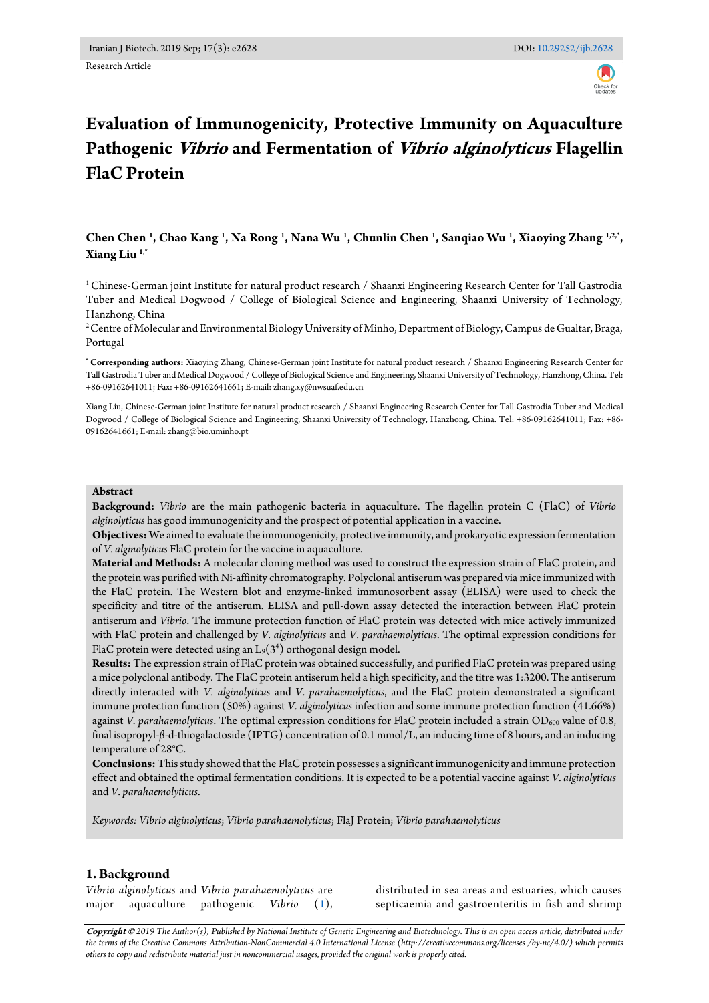Research Article

# **Evaluation of Immunogenicity, Protective Immunity on Aquaculture Pathogenic Vibrio and Fermentation of Vibrio alginolyticus Flagellin FlaC Protein**

# **Chen Chen <sup>1</sup> , Chao Kang <sup>1</sup> , Na Rong <sup>1</sup> , Nana Wu <sup>1</sup> , Chunlin Chen <sup>1</sup> , Sanqiao Wu <sup>1</sup> , Xiaoying Zhang 1,2,\* , Xiang Liu 1,\***

<sup>1</sup> Chinese-German joint Institute for natural product research / Shaanxi Engineering Research Center for Tall Gastrodia Tuber and Medical Dogwood / College of Biological Science and Engineering, Shaanxi University of Technology, Hanzhong, China

<sup>2</sup>Centre of Molecular and Environmental Biology University of Minho, Department of Biology, Campus de Gualtar, Braga, Portugal

**\* Corresponding authors:** Xiaoying Zhang, Chinese-German joint Institute for natural product research / Shaanxi Engineering Research Center for Tall Gastrodia Tuber and Medical Dogwood / College of Biological Science and Engineering, Shaanxi University of Technology, Hanzhong, China. Tel: +86-09162641011; Fax: +86-09162641661; E-mail[: zhang.xy@nwsuaf.edu.cn](mailto:zhang.xy@nwsuaf.edu.cn)

Xiang Liu, Chinese-German joint Institute for natural product research / Shaanxi Engineering Research Center for Tall Gastrodia Tuber and Medical Dogwood / College of Biological Science and Engineering, Shaanxi University of Technology, Hanzhong, China. Tel: +86-09162641011; Fax: +86- 09162641661; E-mail: zhang@bio.uminho.pt

#### **Abstract**

**Background:** *Vibrio* are the main pathogenic bacteria in aquaculture. The flagellin protein C (FlaC) of *Vibrio alginolyticus* has good immunogenicity and the prospect of potential application in a vaccine.

**Objectives:** We aimed to evaluate the immunogenicity, protective immunity, and prokaryotic expression fermentation of *V. alginolyticus* FlaC protein for the vaccine in aquaculture.

**Material and Methods:** A molecular cloning method was used to construct the expression strain of FlaC protein, and the protein was purified with Ni-affinity chromatography. Polyclonal antiserum was prepared via mice immunized with the FlaC protein. The Western blot and enzyme-linked immunosorbent assay (ELISA) were used to check the specificity and titre of the antiserum. ELISA and pull-down assay detected the interaction between FlaC protein antiserum and *Vibrio*. The immune protection function of FlaC protein was detected with mice actively immunized with FlaC protein and challenged by *V. alginolyticus* and *V. parahaemolyticus*. The optimal expression conditions for FlaC protein were detected using an  $\mathrm{L}_9(3^4)$  orthogonal design model.

**Results:** The expression strain of FlaC protein was obtained successfully, and purified FlaC protein was prepared using a mice polyclonal antibody. The FlaC protein antiserum held a high specificity, and the titre was 1:3200. The antiserum directly interacted with *V. alginolyticus* and *V. parahaemolyticus*, and the FlaC protein demonstrated a significant immune protection function (50%) against *V. alginolyticus* infection and some immune protection function (41.66%) against *V. parahaemolyticus*. The optimal expression conditions for FlaC protein included a strain OD<sub>600</sub> value of 0.8, final isopropyl-*β*-d-thiogalactoside (IPTG) concentration of 0.1 mmol/L, an inducing time of 8 hours, and an inducing temperature of 28°C.

**Conclusions:** This study showed that the FlaCprotein possesses a significant immunogenicity and immune protection effect and obtained the optimal fermentation conditions. It is expected to be a potential vaccine against *V. alginolyticus* and *V. parahaemolyticus*.

*Keywords: Vibrio alginolyticus*; *Vibrio parahaemolyticus*; FlaJ Protein; *Vibrio parahaemolyticus*

#### **1. Background**

*Vibrio alginolyticus* and *Vibrio parahaemolyticus* are major aquaculture pathogenic *Vibrio* [\(1\)](#page-6-0), distributed in sea areas and estuaries, which causes septicaemia and gastroenteritis in fish and shrimp

**Copyright ©** *2019 The Author(s); Published by National Institute of Genetic Engineering and Biotechnology. This is an open access article, distributed under the terms of the Creative Commons Attribution-NonCommercial 4.0 International License (http://creativecommons.org/licenses /by-nc/4.0/) which permits others to copy and redistribute material just in noncommercial usages, provided the original work is properly cited.*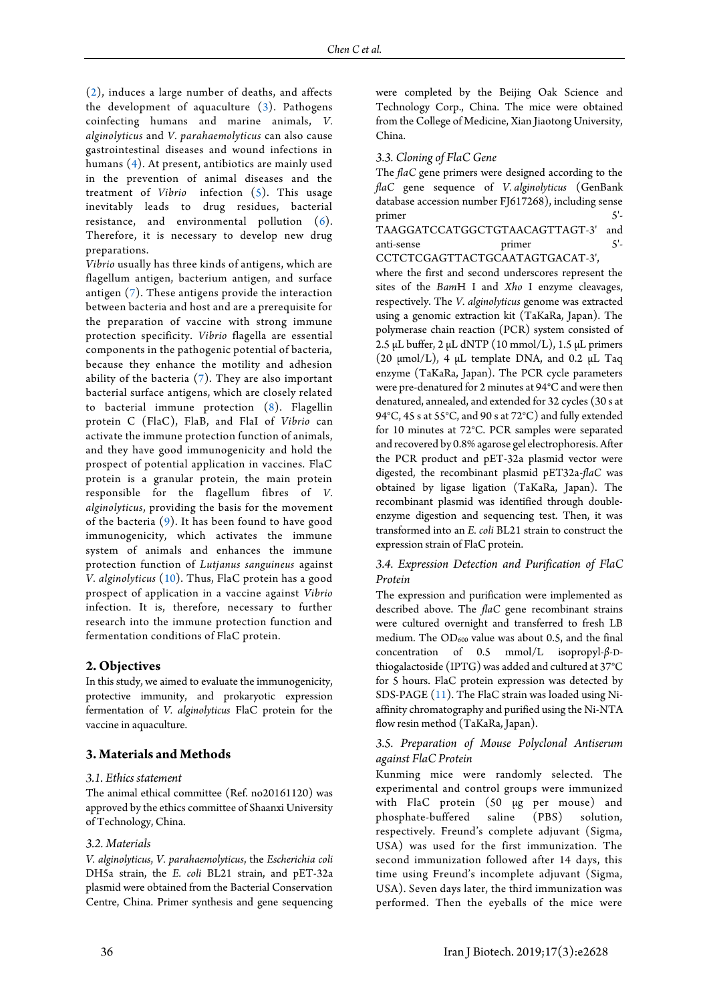[\(2\)](#page-6-1), induces a large number of deaths, and affects the development of aquaculture [\(3\)](#page-6-2). Pathogens coinfecting humans and marine animals, *V. alginolyticus* and *V. parahaemolyticus* can also cause gastrointestinal diseases and wound infections in humans [\(4\)](#page-6-3). At present, antibiotics are mainly used in the prevention of animal diseases and the treatment of *Vibrio* infection [\(5\)](#page-6-4). This usage inevitably leads to drug residues, bacterial resistance, and environmental pollution [\(6\)](#page-6-5). Therefore, it is necessary to develop new drug preparations.

*Vibrio* usually has three kinds of antigens, which are flagellum antigen, bacterium antigen, and surface antigen [\(7\)](#page-6-6). These antigens provide the interaction between bacteria and host and are a prerequisite for the preparation of vaccine with strong immune protection specificity. *Vibrio* flagella are essential components in the pathogenic potential of bacteria, because they enhance the motility and adhesion ability of the bacteria [\(7\)](#page-6-6). They are also important bacterial surface antigens, which are closely related to bacterial immune protection [\(8\)](#page-6-7). Flagellin protein C (FlaC), FlaB, and FlaI of *Vibrio* can activate the immune protection function of animals, and they have good immunogenicity and hold the prospect of potential application in vaccines. FlaC protein is a granular protein, the main protein responsible for the flagellum fibres of *V. alginolyticus*, providing the basis for the movement of the bacteria [\(9\)](#page-6-8). It has been found to have good immunogenicity, which activates the immune system of animals and enhances the immune protection function of *Lutjanus sanguineus* against *V. alginolyticus* [\(10\)](#page-6-9). Thus, FlaC protein has a good prospect of application in a vaccine against *Vibrio*  infection. It is, therefore, necessary to further research into the immune protection function and fermentation conditions of FlaC protein.

# **2. Objectives**

In this study, we aimed to evaluate the immunogenicity, protective immunity, and prokaryotic expression fermentation of *V. alginolyticus* FlaC protein for the vaccine in aquaculture.

# **3. Materials and Methods**

#### *3.1. Ethics statement*

The animal ethical committee (Ref. no20161120) was approved by the ethics committee of Shaanxi University of Technology, China.

#### *3.2. Materials*

*V. alginolyticus*, *V. parahaemolyticus*, the *Escherichia coli* DH5a strain, the *E. coli* BL21 strain, and pET-32a plasmid were obtained from the Bacterial Conservation Centre, China. Primer synthesis and gene sequencing were completed by the Beijing Oak Science and Technology Corp., China. The mice were obtained from the College of Medicine, Xian Jiaotong University, China.

#### *3.3. Cloning of FlaC Gene*

The *flaC* gene primers were designed according to the *flaC* gene sequence of *V. alginolyticus* (GenBank database accession number FJ617268), including sense primer  $5'$ -TAAGGATCCATGGCTGTAACAGTTAGT-3' and anti-sense primer 5'-CCTCTCGAGTTACTGCAATAGTGACAT-3',

where the first and second underscores represent the sites of the *Bam*H I and *Xho* I enzyme cleavages, respectively. The *V. alginolyticus* genome was extracted using a genomic extraction kit (TaKaRa, Japan). The polymerase chain reaction (PCR) system consisted of 2.5 μL buffer,  $2 \mu$ L dNTP (10 mmol/L), 1.5 μL primers (20 μmol/L), 4 μL template DNA, and 0.2 μL Taq enzyme (TaKaRa, Japan). The PCR cycle parameters were pre-denatured for 2 minutes at 94°C and were then denatured, annealed, and extended for 32 cycles (30 s at 94°C, 45 s at 55°C, and 90 s at 72°C) and fully extended for 10 minutes at 72°C. PCR samples were separated and recovered by 0.8% agarose gel electrophoresis. After the PCR product and pET-32a plasmid vector were digested, the recombinant plasmid pET32a-*flaC* was obtained by ligase ligation (TaKaRa, Japan). The recombinant plasmid was identified through doubleenzyme digestion and sequencing test. Then, it was transformed into an *E. coli* BL21 strain to construct the expression strain of FlaC protein.

#### *3.4. Expression Detection and Purification of FlaC Protein*

The expression and purification were implemented as described above. The *flaC* gene recombinant strains were cultured overnight and transferred to fresh LB medium. The  $OD_{600}$  value was about 0.5, and the final concentration of 0.5 mmol/L isopropyl-*β*-Dthiogalactoside (IPTG) was added and cultured at 37°C for 5 hours. FlaC protein expression was detected by SDS-PAGE [\(11\)](#page-6-10). The FlaC strain was loaded using Niaffinity chromatography and purified using the Ni-NTA flow resin method (TaKaRa, Japan).

#### *3.5. Preparation of Mouse Polyclonal Antiserum against FlaC Protein*

Kunming mice were randomly selected. The experimental and control groups were immunized with FlaC protein (50 µg per mouse) and phosphate-buffered saline (PBS) solution, respectively. Freund's complete adjuvant (Sigma, USA) was used for the first immunization. The second immunization followed after 14 days, this time using Freund's incomplete adjuvant (Sigma, USA). Seven days later, the third immunization was performed. Then the eyeballs of the mice were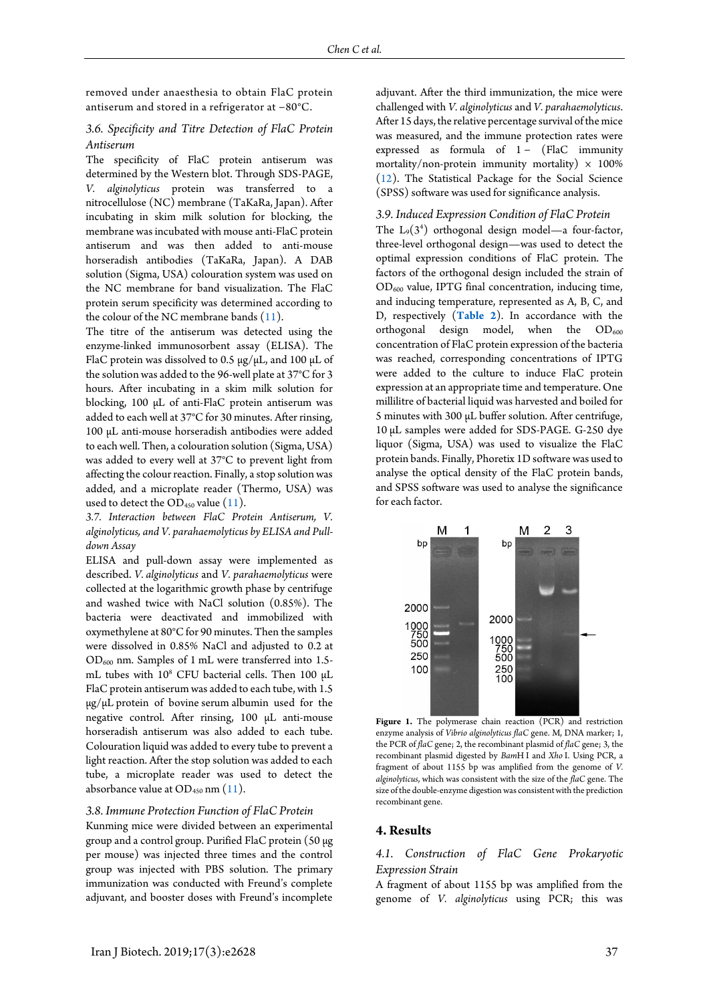removed under anaesthesia to obtain FlaC protein antiserum and stored in a refrigerator at −80°C.

# *3.6. Specificity and Titre Detection of FlaC Protein Antiserum*

The specificity of FlaC protein antiserum was determined by the Western blot. Through SDS-PAGE, *V. alginolyticus* protein was transferred to a nitrocellulose (NC) membrane (TaKaRa, Japan). After incubating in skim milk solution for blocking, the membrane was incubated with mouse anti-FlaC protein antiserum and was then added to anti-mouse horseradish antibodies (TaKaRa, Japan). A DAB solution (Sigma, USA) colouration system was used on the NC membrane for band visualization. The FlaC protein serum specificity was determined according to the colour of the NC membrane bands [\(11\)](#page-6-10).

The titre of the antiserum was detected using the enzyme-linked immunosorbent assay (ELISA). The FlaC protein was dissolved to 0.5 μg/μL, and 100 μL of the solution was added to the 96-well plate at 37°C for 3 hours. After incubating in a skim milk solution for blocking, 100 μL of anti-FlaC protein antiserum was added to each well at 37°C for 30 minutes. After rinsing, 100 μL anti-mouse horseradish antibodies were added to each well. Then, a colouration solution (Sigma, USA) was added to every well at 37°C to prevent light from affecting the colour reaction. Finally, a stop solution was added, and a microplate reader [\(Thermo,](https://www.sogou.com/link?url=DSOYnZeCC_rdt95b1q-jMfKKv9T6ROEc) USA) was used to detect the  $OD_{450}$  value [\(11\)](#page-6-10).

*3.7. Interaction between FlaC Protein Antiserum, V. alginolyticus, and V. parahaemolyticus by ELISA and Pulldown Assay*

ELISA and pull-down assay were implemented as described. *V. alginolyticus* and *V. parahaemolyticus* were collected at the logarithmic growth phase by centrifuge and washed twice with NaCl solution (0.85%). The bacteria were deactivated and immobilized with oxymethylene at 80°C for 90 minutes. Then the samples were dissolved in 0.85% NaCl and adjusted to 0.2 at OD<sup>600</sup> nm. Samples of 1 mL were transferred into 1.5 mL tubes with  $10^8$  CFU bacterial cells. Then 100  $\mu$ L FlaC protein antiserum was added to each tube, with 1.5 μg/μL protein of bovine serum albumin used for the negative control. After rinsing, 100 μL anti-mouse horseradish antiserum was also added to each tube. Colouration liquid was added to every tube to prevent a light reaction. After the stop solution was added to each tube, a microplate reader was used to detect the absorbance value at  $OD_{450}$  nm  $(11)$ .

#### *3.8. Immune Protection Function of FlaC Protein*

Kunming mice were divided between an experimental group and a control group. Purified FlaC protein (50 µg per mouse) was injected three times and the control group was injected with PBS solution. The primary immunization was conducted with Freund's complete adjuvant, and booster doses with Freund's incomplete

adjuvant. After the third immunization, the mice were challenged with *V. alginolyticus* and *V. parahaemolyticus*. After 15 days, the relative percentage survival of the mice was measured, and the immune protection rates were expressed as formula of 1 − (FlaC immunity mortality/non-protein immunity mortality)  $\times$  100% [\(12\)](#page-6-11). The Statistical Package for the Social Science (SPSS) software was used for significance analysis.

## *3.9. Induced Expression Condition of FlaC Protein*

The  $L_9(3^4)$  orthogonal design model—a four-factor, three-level orthogonal design—was used to detect the optimal expression conditions of FlaC protein. The factors of the orthogonal design included the strain of  $OD_{600}$  value, IPTG final concentration, inducing time, and inducing temperature, represented as A, B, C, and D, respectively (**[Table 2](#page-5-0)**). In accordance with the orthogonal design model, when the  $OD_{600}$ concentration of FlaC protein expression of the bacteria was reached, corresponding concentrations of IPTG were added to the culture to induce FlaC protein expression at an appropriate time and temperature. One millilitre of bacterial liquid was harvested and boiled for 5 minutes with 300 μL buffer solution. After centrifuge, 10 μL samples were added for SDS-PAGE. G-250 dye liquor (Sigma, USA) was used to visualize the FlaC protein bands. Finally, Phoretix 1D software was used to analyse the optical density of the FlaC protein bands, and SPSS software was used to analyse the significance for each factor.

<span id="page-2-0"></span>

Figure 1. The polymerase chain reaction (PCR) and restriction enzyme analysis of *Vibrio alginolyticus flaC* gene. M, DNA marker; 1, the PCR of *flaC* gene; 2, the recombinant plasmid of *flaC* gene; 3, the recombinant plasmid digested by *Bam*H I and *Xho* I. Using PCR, a fragment of about 1155 bp was amplified from the genome of *V. alginolyticus*, which was consistent with the size of the *flaC* gene. The size of the double-enzyme digestion was consistent with the prediction recombinant gene.

#### **4. Results**

# *4.1. Construction of FlaC Gene Prokaryotic Expression Strain*

A fragment of about 1155 bp was amplified from the genome of *V. alginolyticus* using PCR; this was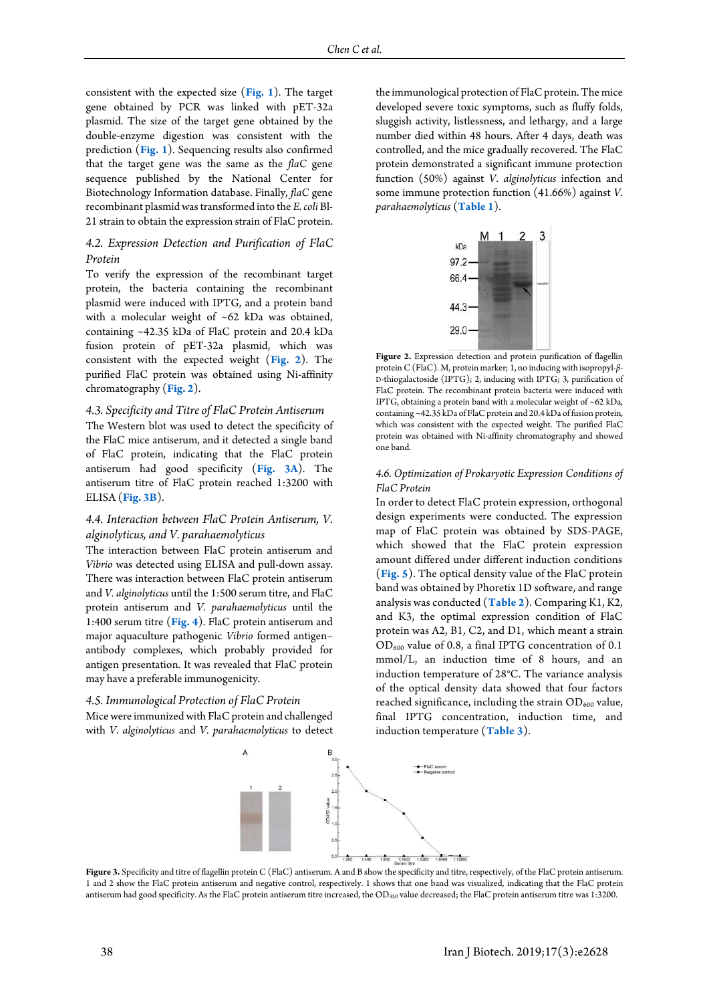consistent with the expected size (**[Fig. 1](#page-2-0)**). The target gene obtained by PCR was linked with pET-32a plasmid. The size of the target gene obtained by the double-enzyme digestion was consistent with the prediction (**[Fig. 1](#page-2-0)**). Sequencing results also confirmed that the target gene was the same as the *flaC* gene sequence published by the National Center for Biotechnology Information database. Finally, *flaC* gene recombinant plasmid was transformed into the *E. coli* Bl-21 strain to obtain the expression strain of FlaC protein.

#### *4.2. Expression Detection and Purification of FlaC Protein*

To verify the expression of the recombinant target protein, the bacteria containing the recombinant plasmid were induced with IPTG, and a protein band with a molecular weight of ~62 kDa was obtained, containing ~42.35 kDa of FlaC protein and 20.4 kDa fusion protein of pET-32a plasmid, which was consistent with the expected weight (**[Fig. 2](#page-3-0)**). The purified FlaC protein was obtained using Ni-affinity chromatography (**[Fig. 2](#page-3-0)**).

#### *4.3. Specificity and Titre of FlaC Protein Antiserum*

The Western blot was used to detect the specificity of the FlaC mice antiserum, and it detected a single band of FlaC protein, indicating that the FlaC protein antiserum had good specificity (**[Fig. 3A](#page-3-1)**). The antiserum titre of FlaC protein reached 1:3200 with ELISA (**[Fig. 3B](#page-3-1)**).

#### *4.4. Interaction between FlaC Protein Antiserum, V. alginolyticus, and V. parahaemolyticus*

The interaction between FlaC protein antiserum and *Vibrio* was detected using ELISA and pull-down assay. There was interaction between FlaC protein antiserum and *V. alginolyticus* until the 1:500 serum titre, and FlaC protein antiserum and *V. parahaemolyticus* until the 1:400 serum titre (**[Fig.](#page-3-2) 4**). FlaC protein antiserum and major aquaculture pathogenic *Vibrio* formed antigen– antibody complexes, which probably provided for antigen presentation. It was revealed that FlaC protein may have a preferable immunogenicity.

# *4.5. Immunological Protection of FlaC Protein*

<span id="page-3-1"></span>Mice were immunized with FlaC protein and challenged with *V. alginolyticus* and *V. parahaemolyticus* to detect the immunological protection of FlaC protein. The mice developed severe toxic symptoms, such as fluffy folds, sluggish activity, listlessness, and lethargy, and a large number died within 48 hours. After 4 days, death was controlled, and the mice gradually recovered. The FlaC protein demonstrated a significant immune protection function (50%) against *V. alginolyticus* infection and some immune protection function (41.66%) against *V. parahaemolyticus* (**[Table 1](#page-5-0)**).

<span id="page-3-0"></span>

Figure 2. Expression detection and protein purification of flagellin protein C (FlaC). M, protein marker; 1, no inducing with isopropyl-*β*-D-thiogalactoside (IPTG); 2, inducing with IPTG; 3, purification of FlaC protein. The recombinant protein bacteria were induced with IPTG, obtaining a protein band with a molecular weight of ~62 kDa, containing ~42.35 kDa of FlaC protein and 20.4 kDa of fusion protein, which was consistent with the expected weight. The purified FlaC protein was obtained with Ni-affinity chromatography and showed one band.

#### *4.6. Optimization of Prokaryotic Expression Conditions of FlaC Protein*

In order to detect FlaC protein expression, orthogonal design experiments were conducted. The expression map of FlaC protein was obtained by SDS-PAGE, which showed that the FlaC protein expression amount differed under different induction conditions (**[Fig. 5](#page-4-0)**). The optical density value of the FlaC protein band was obtained by Phoretix 1D software, and range analysis was conducted (**[Table 2](#page-5-0)**). Comparing K1, K2, and K3, the optimal expression condition of FlaC protein was A2, B1, C2, and D1, which meant a strain OD<sup>600</sup> value of 0.8, a final IPTG concentration of 0.1 mmol/L, an induction time of 8 hours, and an induction temperature of 28°C. The variance analysis of the optical density data showed that four factors reached significance, including the strain  $OD_{600}$  value, final IPTG concentration, induction time, and induction temperature (**[Table 3](#page-5-1)**).



<span id="page-3-2"></span>Figure 3. Specificity and titre of flagellin protein C (FlaC) antiserum. A and B show the specificity and titre, respectively, of the FlaC protein antiserum. 1 and 2 show the FlaC protein antiserum and negative control, respectively. 1 shows that one band was visualized, indicating that the FlaC protein antiserum had good specificity. As the FlaC protein antiserum titre increased, the OD<sub>450</sub> value decreased; the FlaC protein antiserum titre was 1:3200.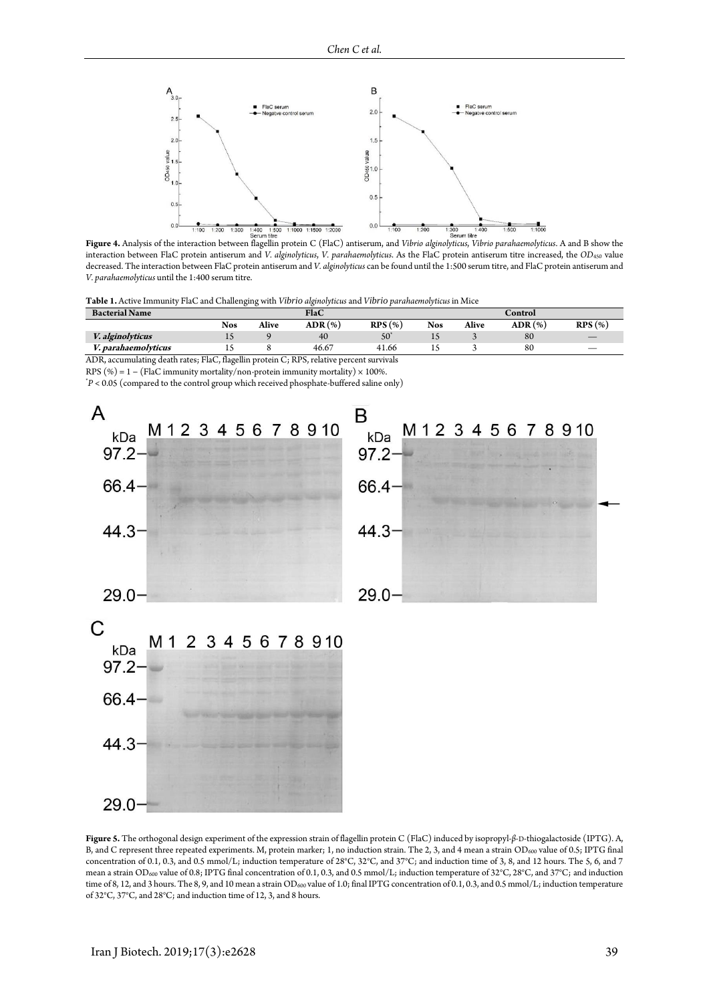

interaction between FlaC protein antiserum and *V. alginolyticus*, *V. parahaemolyticus*. As the FlaC protein antiserum titre increased, the *OD*<sup>450</sup> value decreased. The interaction between FlaC protein antiserum and *V. alginolyticus* can be found until the 1:500 serum titre, and FlaC protein antiserum and *V. parahaemolyticus* until the 1:400 serum titre.

**Table 1.** Active Immunity FlaC and Challenging with *Vibrio alginolyticus* and *Vibrio parahaemolyticus* in Mice

| <b>Bacterial Name</b>   |            |       | FlaC           |            |            |       | Control           |        |
|-------------------------|------------|-------|----------------|------------|------------|-------|-------------------|--------|
|                         | <b>Nos</b> | Alive | <b>ADR</b> (%) | $RPS(\% )$ | <b>Nos</b> | Alive | $\text{ADR}(\% )$ | RPS(%) |
| <i>V. alginolyticus</i> |            |       | 40             | 50         | ∸          |       | 80                |        |
| V. parahaemolvticus     |            |       | 46.67          | 41.66      |            |       | 80                |        |

ADR, accumulating death rates; FlaC, flagellin protein C; RPS, relative percent survivals

RPS (%) = 1 – (FlaC immunity mortality/non-protein immunity mortality)  $\times$  100%.

\**P* < 0.05 (compared to the control group which received phosphate-buffered saline only)

<span id="page-4-0"></span>

**Figure 5.** The orthogonal design experiment of the expression strain of flagellin protein C (FlaC) induced by isopropyl-*β*-D-thiogalactoside (IPTG). A, B, and C represent three repeated experiments. M, protein marker; 1, no induction strain. The 2, 3, and 4 mean a strain OD<sub>600</sub> value of 0.5; IPTG final concentration of 0.1, 0.3, and 0.5 mmol/L; induction temperature of 28°C, 32°C, and 37°C; and induction time of 3, 8, and 12 hours. The 5, 6, and 7 mean a strain OD<sub>600</sub> value of 0.8; IPTG final concentration of 0.1, 0.3, and 0.5 mmol/L; induction temperature of 32°C, 28°C, and 37°C; and induction time of 8, 12, and 3 hours. The 8, 9, and 10 mean a strain OD<sub>600</sub> value of 1.0; final IPTG concentration of 0.1, 0.3, and 0.5 mmol/L; induction temperature of 32°C, 37°C, and 28°C; and induction time of 12, 3, and 8 hours.

 $29.0 -$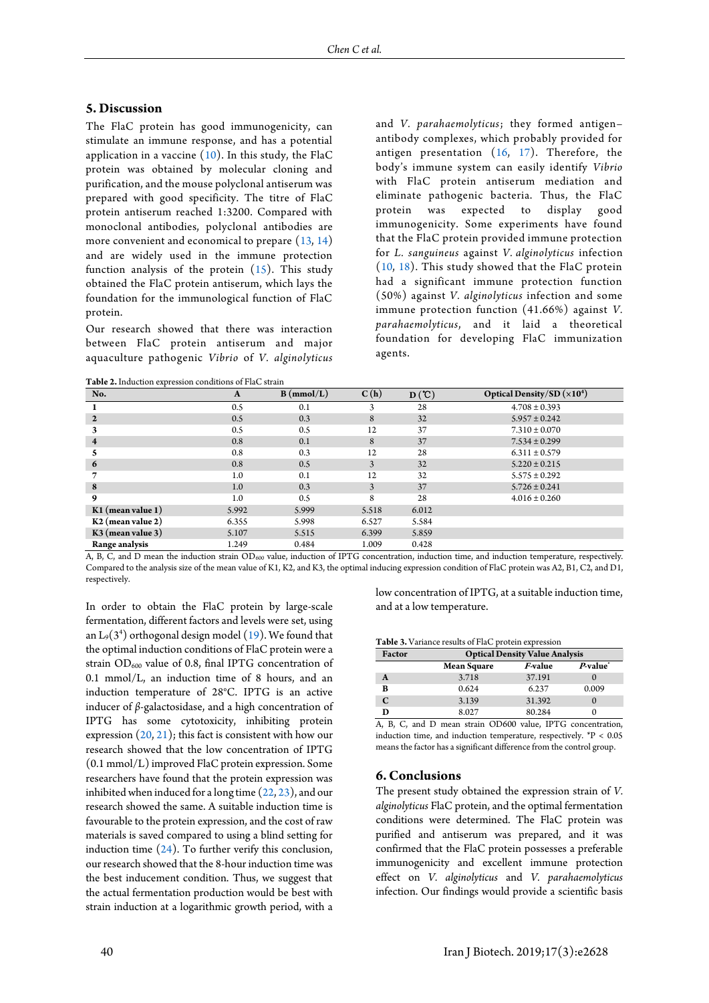#### **5. Discussion**

The FlaC protein has good immunogenicity, can stimulate an immune response, and has a potential application in a vaccine  $(10)$ . In this study, the FlaC protein was obtained by molecular cloning and purification, and the mouse polyclonal antiserum was prepared with good specificity. The titre of FlaC protein antiserum reached 1:3200. Compared with monoclonal antibodies, polyclonal antibodies are more convenient and economical to prepare [\(13,](#page-6-12) [14\)](#page-6-13) and are widely used in the immune protection function analysis of the protein  $(15)$ . This study obtained the FlaC protein antiserum, which lays the foundation for the immunological function of FlaC protein.

Our research showed that there was interaction between FlaC protein antiserum and major aquaculture pathogenic *Vibrio* of *V. alginolyticus* 

<span id="page-5-0"></span>**Table 2.**Induction expression conditions of FlaC strain

and *V. parahaemolyticus*; they formed antigen– antibody complexes, which probably provided for antigen presentation  $(16, 17)$  $(16, 17)$ . Therefore, the body's immune system can easily identify *Vibrio* with FlaC protein antiserum mediation and eliminate pathogenic bacteria. Thus, the FlaC protein was expected to display good immunogenicity. Some experiments have found that the FlaC protein provided immune protection for *L. sanguineus* against *V. alginolyticus* infection [\(10,](#page-6-9) [18\)](#page-6-17). This study showed that the FlaC protein had a significant immune protection function (50%) against *V. alginolyticus* infection and some immune protection function (41.66%) against *V. parahaemolyticus*, and it laid a theoretical foundation for developing FlaC immunization agents.

| No.                     | A     | B (mmol/L) | C(h)  | D(C)  | Optical Density/SD $(x10^4)$ |
|-------------------------|-------|------------|-------|-------|------------------------------|
|                         | 0.5   | 0.1        |       | 28    | $4.708 \pm 0.393$            |
| $\mathbf{2}$            | 0.5   | 0.3        | 8     | 32    | $5.957 \pm 0.242$            |
|                         | 0.5   | 0.5        | 12    | 37    | $7.310 \pm 0.070$            |
| $\overline{\mathbf{4}}$ | 0.8   | 0.1        | 8     | 37    | $7.534 \pm 0.299$            |
| 5                       | 0.8   | 0.3        | 12    | 28    | $6.311 \pm 0.579$            |
| 6                       | 0.8   | 0.5        | 3     | 32    | $5.220 \pm 0.215$            |
| 7                       | 1.0   | 0.1        | 12    | 32    | $5.575 \pm 0.292$            |
| 8                       | 1.0   | 0.3        | 3     | 37    | $5.726 \pm 0.241$            |
| 9                       | 1.0   | 0.5        | 8     | 28    | $4.016 \pm 0.260$            |
| $K1$ (mean value 1)     | 5.992 | 5.999      | 5.518 | 6.012 |                              |
| $K2$ (mean value 2)     | 6.355 | 5.998      | 6.527 | 5.584 |                              |
| $K3$ (mean value 3)     | 5.107 | 5.515      | 6.399 | 5.859 |                              |
| Range analysis          | 1.249 | 0.484      | 1.009 | 0.428 |                              |

A, B, C, and D mean the induction strain OD<sup>600</sup> value, induction of IPTG concentration, induction time, and induction temperature, respectively. Compared to the analysis size of the mean value of K1, K2, and K3, the optimal inducing expression condition of FlaC protein was A2, B1, C2, and D1, respectively.

In order to obtain the FlaC protein by large-scale fermentation, different factors and levels were set, using an  $L_9(3^4)$  orthogonal design model [\(19\)](#page-7-0). We found that the optimal induction conditions of FlaC protein were a strain  $OD_{600}$  value of 0.8, final IPTG concentration of 0.1 mmol/L, an induction time of 8 hours, and an induction temperature of 28°C. IPTG is an active inducer of *β*-galactosidase, and a high concentration of IPTG has some cytotoxicity, inhibiting protein expression  $(20, 21)$  $(20, 21)$ ; this fact is consistent with how our research showed that the low concentration of IPTG (0.1 mmol/L) improved FlaC protein expression. Some researchers have found that the protein expression was inhibited when induced for a long time [\(22,](#page-7-3) [23\)](#page-7-4), and our research showed the same. A suitable induction time is favourable to the protein expression, and the cost of raw materials is saved compared to using a blind setting for induction time [\(24\)](#page-7-5). To further verify this conclusion, our research showed that the 8-hour induction time was the best inducement condition. Thus, we suggest that the actual fermentation production would be best with strain induction at a logarithmic growth period, with a

low concentration of IPTG, at a suitable induction time, and at a low temperature.

<span id="page-5-1"></span>**Table 3.** Variance results of FlaC protein expression

| Factor | <b>Optical Density Value Analysis</b> |                |                       |  |  |  |
|--------|---------------------------------------|----------------|-----------------------|--|--|--|
|        | <b>Mean Square</b>                    | <i>F-value</i> | $P$ -value $\dot{\ }$ |  |  |  |
| A      | 3.718                                 | 37.191         |                       |  |  |  |
| в      | 0.624                                 | 6.237          | 0.009                 |  |  |  |
|        | 3.139                                 | 31.392         |                       |  |  |  |
|        | 8.027                                 | 80.284         |                       |  |  |  |

A, B, C, and D mean strain OD600 value, IPTG concentration, induction time, and induction temperature, respectively. \*P < 0.05 means the factor has a significant difference from the control group.

#### **6. Conclusions**

The present study obtained the expression strain of *V. alginolyticus* FlaC protein, and the optimal fermentation conditions were determined. The FlaC protein was purified and antiserum was prepared, and it was confirmed that the FlaC protein possesses a preferable immunogenicity and excellent immune protection effect on *V. alginolyticus* and *V. parahaemolyticus* infection. Our findings would provide a scientific basis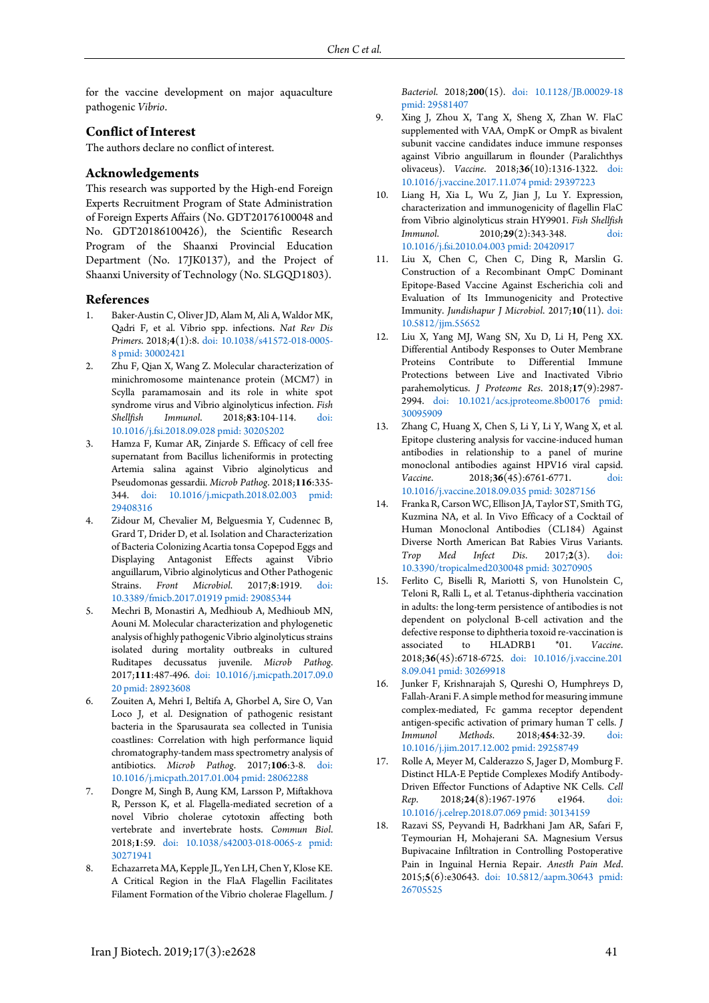for the vaccine development on major aquaculture pathogenic *Vibrio*.

# **Conflict of Interest**

The authors declare no conflict of interest.

#### **Acknowledgements**

This research was supported by the High-end Foreign Experts Recruitment Program of State Administration of Foreign Experts Affairs (No. GDT20176100048 and No. GDT20186100426), the Scientific Research Program of the Shaanxi Provincial Education Department (No. 17JK0137), and the Project of Shaanxi University of Technology (No. SLGQD1803).

#### **References**

- <span id="page-6-0"></span>1. Baker-Austin C, Oliver JD, Alam M, Ali A, Waldor MK, Qadri F, et al. Vibrio spp. infections. *Nat Rev Dis Primers*. 2018;**4**(1):8. [doi: 10.1038/s41572-018-0005-](http://dx.doi.org/10.1038/s41572-018-0005-8) [8](http://dx.doi.org/10.1038/s41572-018-0005-8) [pmid: 30002421](http://ncbi.nlm.nih.gov/pubmed/30002421)
- <span id="page-6-1"></span>2. Zhu F, Qian X, Wang Z. Molecular characterization of minichromosome maintenance protein (MCM7) in Scylla paramamosain and its role in white spot syndrome virus and Vibrio alginolyticus infection. *Fish Shellfish Immunol*. 2018;**83**:104-114. [doi:](http://dx.doi.org/10.1016/j.fsi.2018.09.028)  [10.1016/j.fsi.2018.09.028](http://dx.doi.org/10.1016/j.fsi.2018.09.028) [pmid: 30205202](http://ncbi.nlm.nih.gov/pubmed/30205202)
- <span id="page-6-2"></span>3. Hamza F, Kumar AR, Zinjarde S. Efficacy of cell free supernatant from Bacillus licheniformis in protecting Artemia salina against Vibrio alginolyticus and Pseudomonas gessardii. *Microb Pathog*. 2018;**116**:335- 344. [doi: 10.1016/j.micpath.2018.02.003](http://dx.doi.org/10.1016/j.micpath.2018.02.003) [pmid:](http://ncbi.nlm.nih.gov/pubmed/29408316)  [29408316](http://ncbi.nlm.nih.gov/pubmed/29408316)
- <span id="page-6-3"></span>4. Zidour M, Chevalier M, Belguesmia Y, Cudennec B, Grard T, Drider D, et al. Isolation and Characterization of Bacteria Colonizing Acartia tonsa Copepod Eggs and Displaying Antagonist Effects against Vibrio anguillarum, Vibrio alginolyticus and Other Pathogenic Strains. *Front Microbiol*. 2017;**8**:1919. [doi:](http://dx.doi.org/10.3389/fmicb.2017.01919)  [10.3389/fmicb.2017.01919](http://dx.doi.org/10.3389/fmicb.2017.01919) [pmid: 29085344](http://ncbi.nlm.nih.gov/pubmed/29085344)
- <span id="page-6-4"></span>5. Mechri B, Monastiri A, Medhioub A, Medhioub MN, Aouni M. Molecular characterization and phylogenetic analysis of highly pathogenic Vibrio alginolyticus strains isolated during mortality outbreaks in cultured Ruditapes decussatus juvenile. *Microb Pathog*. 2017;**111**:487-496. [doi: 10.1016/j.micpath.2017.09.0](http://dx.doi.org/10.1016/j.micpath.2017.09.020) [20](http://dx.doi.org/10.1016/j.micpath.2017.09.020) [pmid: 28923608](http://ncbi.nlm.nih.gov/pubmed/28923608)
- <span id="page-6-5"></span>6. Zouiten A, Mehri I, Beltifa A, Ghorbel A, Sire O, Van Loco J, et al. Designation of pathogenic resistant bacteria in the Sparusaurata sea collected in Tunisia coastlines: Correlation with high performance liquid chromatography-tandem mass spectrometry analysis of antibiotics. *Microb Pathog*. 2017;**106**:3-8. [doi:](http://dx.doi.org/10.1016/j.micpath.2017.01.004)  [10.1016/j.micpath.2017.01.004](http://dx.doi.org/10.1016/j.micpath.2017.01.004) [pmid: 28062288](http://ncbi.nlm.nih.gov/pubmed/28062288)
- <span id="page-6-6"></span>7. Dongre M, Singh B, Aung KM, Larsson P, Miftakhova R, Persson K, et al. Flagella-mediated secretion of a novel Vibrio cholerae cytotoxin affecting both vertebrate and invertebrate hosts. *Commun Biol*. 2018;**1**:59. [doi: 10.1038/s42003-018-0065-z](http://dx.doi.org/10.1038/s42003-018-0065-z) [pmid:](http://ncbi.nlm.nih.gov/pubmed/30271941)  [30271941](http://ncbi.nlm.nih.gov/pubmed/30271941)
- <span id="page-6-7"></span>8. Echazarreta MA, Kepple JL, Yen LH, Chen Y, Klose KE. A Critical Region in the FlaA Flagellin Facilitates Filament Formation of the Vibrio cholerae Flagellum. *J*

*Bacteriol*. 2018;**200**(15). [doi: 10.1128/JB.00029-18](http://dx.doi.org/10.1128/JB.00029-18) [pmid: 29581407](http://ncbi.nlm.nih.gov/pubmed/29581407)

- <span id="page-6-8"></span>9. Xing J, Zhou X, Tang X, Sheng X, Zhan W. FlaC supplemented with VAA, OmpK or OmpR as bivalent subunit vaccine candidates induce immune responses against Vibrio anguillarum in flounder (Paralichthys olivaceus). *Vaccine*. 2018;**36**(10):1316-1322. [doi:](http://dx.doi.org/10.1016/j.vaccine.2017.11.074)  [10.1016/j.vaccine.2017.11.074](http://dx.doi.org/10.1016/j.vaccine.2017.11.074) [pmid: 29397223](http://ncbi.nlm.nih.gov/pubmed/29397223)
- <span id="page-6-9"></span>10. Liang H, Xia L, Wu Z, Jian J, Lu Y. Expression, characterization and immunogenicity of flagellin FlaC from Vibrio alginolyticus strain HY9901. *Fish Shellfish Immunol*. 2010;**29**(2):343-348. [doi:](http://dx.doi.org/10.1016/j.fsi.2010.04.003)  [10.1016/j.fsi.2010.04.003](http://dx.doi.org/10.1016/j.fsi.2010.04.003) [pmid: 20420917](http://ncbi.nlm.nih.gov/pubmed/20420917)
- <span id="page-6-10"></span>11. Liu X, Chen C, Chen C, Ding R, Marslin G. Construction of a Recombinant OmpC Dominant Epitope-Based Vaccine Against Escherichia coli and Evaluation of Its Immunogenicity and Protective Immunity. *Jundishapur J Microbiol*. 2017;**10**(11). [doi:](http://dx.doi.org/10.5812/jjm.55652)  [10.5812/jjm.55652](http://dx.doi.org/10.5812/jjm.55652)
- <span id="page-6-11"></span>12. Liu X, Yang MJ, Wang SN, Xu D, Li H, Peng XX. Differential Antibody Responses to Outer Membrane Proteins Contribute to Differential Immune Protections between Live and Inactivated Vibrio parahemolyticus. *J Proteome Res*. 2018;**17**(9):2987- 2994. [doi: 10.1021/acs.jproteome.8b00176](http://dx.doi.org/10.1021/acs.jproteome.8b00176) [pmid:](http://ncbi.nlm.nih.gov/pubmed/30095909)  [30095909](http://ncbi.nlm.nih.gov/pubmed/30095909)
- <span id="page-6-12"></span>13. Zhang C, Huang X, Chen S, Li Y, Li Y, Wang X, et al. Epitope clustering analysis for vaccine-induced human antibodies in relationship to a panel of murine monoclonal antibodies against HPV16 viral capsid.<br>Vaccine. 2018:36(45):6761-6771. doi: *Vaccine*. 2018;**36**(45):6761-6771. [doi:](http://dx.doi.org/10.1016/j.vaccine.2018.09.035)  [10.1016/j.vaccine.2018.09.035](http://dx.doi.org/10.1016/j.vaccine.2018.09.035) [pmid: 30287156](http://ncbi.nlm.nih.gov/pubmed/30287156)
- <span id="page-6-13"></span>14. Franka R, Carson WC, Ellison JA, Taylor ST, Smith TG, Kuzmina NA, et al. In Vivo Efficacy of a Cocktail of Human Monoclonal Antibodies (CL184) Against Diverse North American Bat Rabies Virus Variants.<br>
Trop Med Infect Dis. 2017;2(3). doi: *Trop Med Infect Dis*. 2017;**2**(3). [doi:](http://dx.doi.org/10.3390/tropicalmed2030048)  [10.3390/tropicalmed2030048](http://dx.doi.org/10.3390/tropicalmed2030048) [pmid: 30270905](http://ncbi.nlm.nih.gov/pubmed/30270905)
- <span id="page-6-14"></span>15. Ferlito C, Biselli R, Mariotti S, von Hunolstein C, Teloni R, Ralli L, et al. Tetanus-diphtheria vaccination in adults: the long-term persistence of antibodies is not dependent on polyclonal B-cell activation and the defective response to diphtheria toxoid re-vaccination is<br>associated to HLADRB1 \*01. Vaccine. associated to **HLADRB1** 2018;**36**(45):6718-6725. [doi: 10.1016/j.vaccine.201](http://dx.doi.org/10.1016/j.vaccine.2018.09.041) [8.09.041](http://dx.doi.org/10.1016/j.vaccine.2018.09.041) [pmid: 30269918](http://ncbi.nlm.nih.gov/pubmed/30269918)
- <span id="page-6-15"></span>16. Junker F, Krishnarajah S, Qureshi O, Humphreys D, Fallah-Arani F. A simple method for measuring immune complex-mediated, Fc gamma receptor dependent antigen-specific activation of primary human T cells. *J*<br> *Immunol Methods*. 2018;454:32-39. doi: *Immunol Methods*. 2018;**454**:32-39. [doi:](http://dx.doi.org/10.1016/j.jim.2017.12.002)  [10.1016/j.jim.2017.12.002](http://dx.doi.org/10.1016/j.jim.2017.12.002) [pmid: 29258749](http://ncbi.nlm.nih.gov/pubmed/29258749)
- <span id="page-6-16"></span>17. Rolle A, Meyer M, Calderazzo S, Jager D, Momburg F. Distinct HLA-E Peptide Complexes Modify Antibody-Driven Effector Functions of Adaptive NK Cells. *Cell Rep.* 2018;24(8):1967-1976 [10.1016/j.celrep.2018.07.069](http://dx.doi.org/10.1016/j.celrep.2018.07.069) [pmid: 30134159](http://ncbi.nlm.nih.gov/pubmed/30134159)
- <span id="page-6-17"></span>18. Razavi SS, Peyvandi H, Badrkhani Jam AR, Safari F, Teymourian H, Mohajerani SA. Magnesium Versus Bupivacaine Infiltration in Controlling Postoperative Pain in Inguinal Hernia Repair. *Anesth Pain Med*. 2015;**5**(6):e30643. [doi: 10.5812/aapm.30643](http://dx.doi.org/10.5812/aapm.30643) [pmid:](http://ncbi.nlm.nih.gov/pubmed/26705525)  [26705525](http://ncbi.nlm.nih.gov/pubmed/26705525)